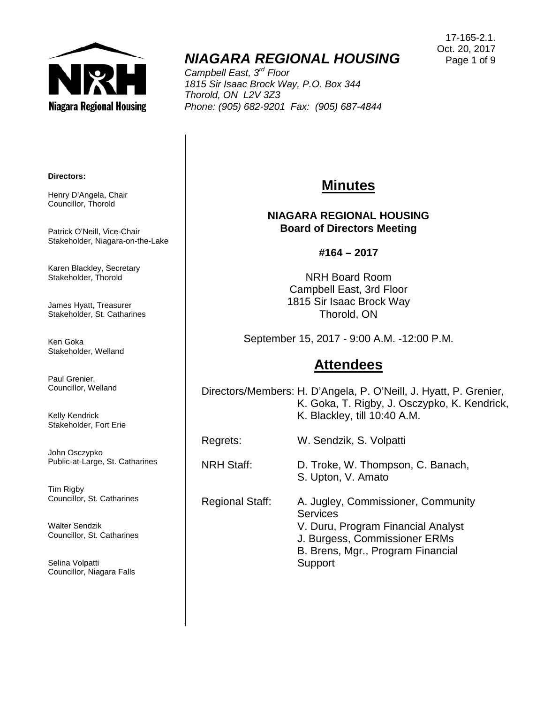

# *NIAGARA REGIONAL HOUSING*

*Campbell East, 3rd Floor 1815 Sir Isaac Brock Way, P.O. Box 344 Thorold, ON L2V 3Z3 Phone: (905) 682-9201 Fax: (905) 687-4844*

#### **Directors:**

Henry D'Angela, Chair Councillor, Thorold

Patrick O'Neill, Vice-Chair Stakeholder, Niagara-on-the-Lake

Karen Blackley, Secretary Stakeholder, Thorold

James Hyatt, Treasurer Stakeholder, St. Catharines

Ken Goka Stakeholder, Welland

Paul Grenier, Councillor, Welland

Kelly Kendrick Stakeholder, Fort Erie

John Osczypko Public-at-Large, St. Catharines

Tim Rigby Councillor, St. Catharines

Walter Sendzik Councillor, St. Catharines

Selina Volpatti Councillor, Niagara Falls

## **Minutes**

### **NIAGARA REGIONAL HOUSING Board of Directors Meeting**

#### **#164 – 2017**

NRH Board Room Campbell East, 3rd Floor 1815 Sir Isaac Brock Way Thorold, ON

September 15, 2017 - 9:00 A.M. -12:00 P.M.

### **Attendees**

Directors/Members: H. D'Angela, P. O'Neill, J. Hyatt, P. Grenier, K. Goka, T. Rigby, J. Osczypko, K. Kendrick, K. Blackley, till 10:40 A.M.

Regrets: W. Sendzik, S. Volpatti

NRH Staff: D. Troke, W. Thompson, C. Banach, S. Upton, V. Amato

Regional Staff: A. Jugley, Commissioner, Community **Services** V. Duru, Program Financial Analyst J. Burgess, Commissioner ERMs B. Brens, Mgr., Program Financial **Support**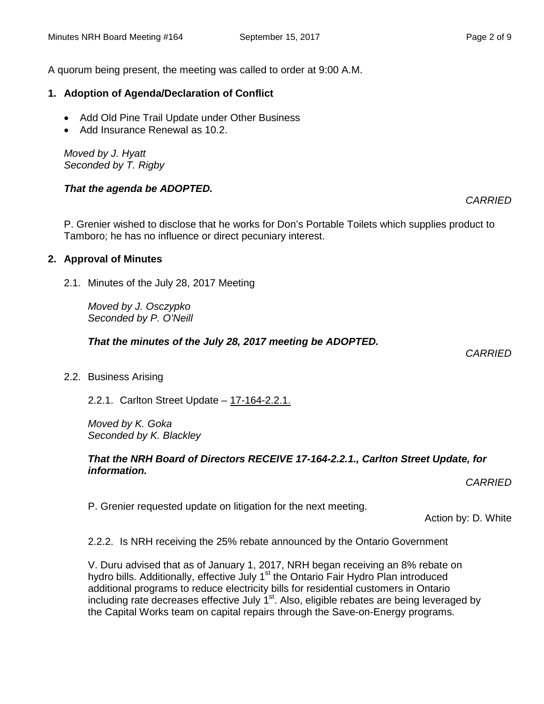### **1. Adoption of Agenda/Declaration of Conflict**

- Add Old Pine Trail Update under Other Business
- Add Insurance Renewal as 10.2.

*Moved by J. Hyatt Seconded by T. Rigby*

### *That the agenda be ADOPTED.*

P. Grenier wished to disclose that he works for Don's Portable Toilets which supplies product to Tamboro; he has no influence or direct pecuniary interest.

### **2. Approval of Minutes**

2.1. Minutes of the July 28, 2017 Meeting

*Moved by J. Osczypko Seconded by P. O'Neill*

*That the minutes of the July 28, 2017 meeting be ADOPTED.* 

2.2. Business Arising

2.2.1. Carlton Street Update – 17-164-2.2.1.

*Moved by K. Goka Seconded by K. Blackley*

### *That the NRH Board of Directors RECEIVE 17-164-2.2.1., Carlton Street Update, for information.*

*CARRIED*

P. Grenier requested update on litigation for the next meeting.

Action by: D. White

2.2.2. Is NRH receiving the 25% rebate announced by the Ontario Government

V. Duru advised that as of January 1, 2017, NRH began receiving an 8% rebate on hydro bills. Additionally, effective July 1<sup>st</sup> the Ontario Fair Hydro Plan introduced additional programs to reduce electricity bills for residential customers in Ontario including rate decreases effective July  $1<sup>st</sup>$ . Also, eligible rebates are being leveraged by the Capital Works team on capital repairs through the Save-on-Energy programs.

*CARRIED*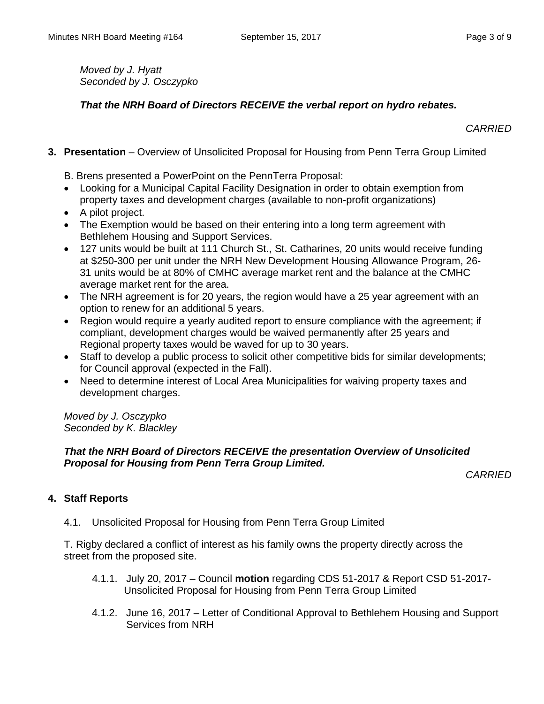*Moved by J. Hyatt Seconded by J. Osczypko*

### *That the NRH Board of Directors RECEIVE the verbal report on hydro rebates.*

*CARRIED*

**3. Presentation** – Overview of Unsolicited Proposal for Housing from Penn Terra Group Limited

B. Brens presented a PowerPoint on the PennTerra Proposal:

- Looking for a Municipal Capital Facility Designation in order to obtain exemption from property taxes and development charges (available to non-profit organizations)
- A pilot project.
- The Exemption would be based on their entering into a long term agreement with Bethlehem Housing and Support Services.
- 127 units would be built at 111 Church St., St. Catharines, 20 units would receive funding at \$250-300 per unit under the NRH New Development Housing Allowance Program, 26- 31 units would be at 80% of CMHC average market rent and the balance at the CMHC average market rent for the area.
- The NRH agreement is for 20 years, the region would have a 25 year agreement with an option to renew for an additional 5 years.
- Region would require a yearly audited report to ensure compliance with the agreement; if compliant, development charges would be waived permanently after 25 years and Regional property taxes would be waved for up to 30 years.
- Staff to develop a public process to solicit other competitive bids for similar developments; for Council approval (expected in the Fall).
- Need to determine interest of Local Area Municipalities for waiving property taxes and development charges.

*Moved by J. Osczypko Seconded by K. Blackley*

### *That the NRH Board of Directors RECEIVE the presentation Overview of Unsolicited Proposal for Housing from Penn Terra Group Limited.*

*CARRIED*

### **4. Staff Reports**

4.1. Unsolicited Proposal for Housing from Penn Terra Group Limited

T. Rigby declared a conflict of interest as his family owns the property directly across the street from the proposed site.

- 4.1.1. July 20, 2017 Council **motion** regarding CDS 51-2017 & Report CSD 51-2017- Unsolicited Proposal for Housing from Penn Terra Group Limited
- 4.1.2. June 16, 2017 Letter of Conditional Approval to Bethlehem Housing and Support Services from NRH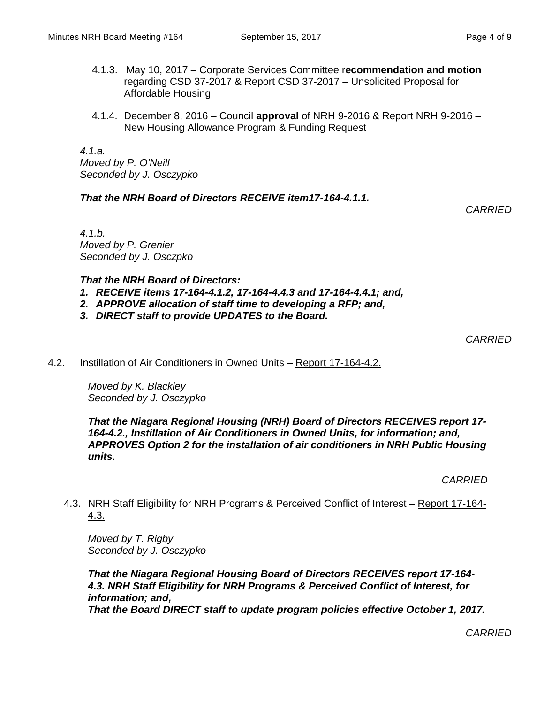- 4.1.3. May 10, 2017 Corporate Services Committee r**ecommendation and motion** regarding CSD 37-2017 & Report CSD 37-2017 – Unsolicited Proposal for Affordable Housing
- 4.1.4. December 8, 2016 Council **approval** of NRH 9-2016 & Report NRH 9-2016 New Housing Allowance Program & Funding Request

*4.1.a. Moved by P. O'Neill Seconded by J. Osczypko*

### *That the NRH Board of Directors RECEIVE item17-164-4.1.1.*

*CARRIED*

*4.1.b. Moved by P. Grenier Seconded by J. Osczpko*

### *That the NRH Board of Directors:*

- *1. RECEIVE items 17-164-4.1.2, 17-164-4.4.3 and 17-164-4.4.1; and,*
- *2. APPROVE allocation of staff time to developing a RFP; and,*
- *3. DIRECT staff to provide UPDATES to the Board.*

*CARRIED*

4.2. Instillation of Air Conditioners in Owned Units – Report 17-164-4.2.

*Moved by K. Blackley Seconded by J. Osczypko*

*That the Niagara Regional Housing (NRH) Board of Directors RECEIVES report 17- 164-4.2., Instillation of Air Conditioners in Owned Units, for information; and, APPROVES Option 2 for the installation of air conditioners in NRH Public Housing units.*

*CARRIED*

4.3. NRH Staff Eligibility for NRH Programs & Perceived Conflict of Interest – Report 17-164- 4.3.

*Moved by T. Rigby Seconded by J. Osczypko*

*That the Niagara Regional Housing Board of Directors RECEIVES report 17-164- 4.3. NRH Staff Eligibility for NRH Programs & Perceived Conflict of Interest, for information; and, That the Board DIRECT staff to update program policies effective October 1, 2017.*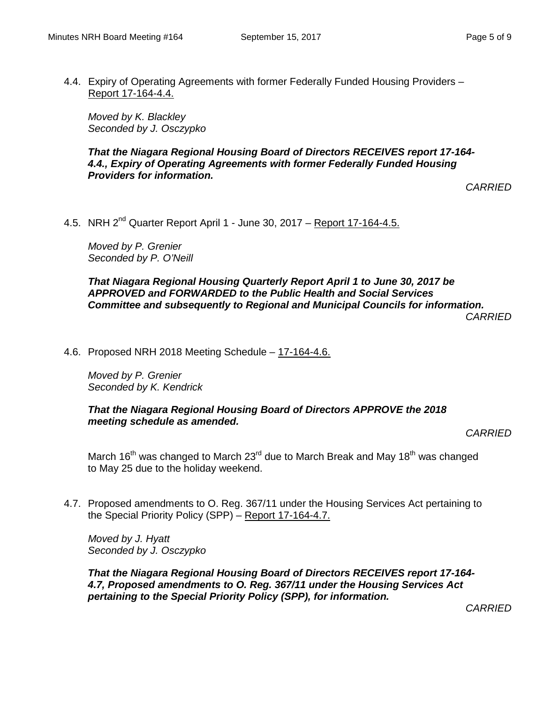4.4. Expiry of Operating Agreements with former Federally Funded Housing Providers – Report 17-164-4.4.

*Moved by K. Blackley Seconded by J. Osczypko*

*That the Niagara Regional Housing Board of Directors RECEIVES report 17-164- 4.4., Expiry of Operating Agreements with former Federally Funded Housing Providers for information.*

*CARRIED*

4.5. NRH  $2^{nd}$  Quarter Report April 1 - June 30, 2017 – Report 17-164-4.5.

*Moved by P. Grenier Seconded by P. O'Neill*

*That Niagara Regional Housing Quarterly Report April 1 to June 30, 2017 be APPROVED and FORWARDED to the Public Health and Social Services Committee and subsequently to Regional and Municipal Councils for information. CARRIED*

4.6. Proposed NRH 2018 Meeting Schedule – 17-164-4.6.

*Moved by P. Grenier Seconded by K. Kendrick*

*That the Niagara Regional Housing Board of Directors APPROVE the 2018 meeting schedule as amended.*

*CARRIED*

March 16<sup>th</sup> was changed to March 23<sup>rd</sup> due to March Break and May 18<sup>th</sup> was changed to May 25 due to the holiday weekend.

4.7. Proposed amendments to O. Reg. 367/11 under the Housing Services Act pertaining to the Special Priority Policy (SPP) – Report 17-164-4.7.

*Moved by J. Hyatt Seconded by J. Osczypko*

*That the Niagara Regional Housing Board of Directors RECEIVES report 17-164- 4.7, Proposed amendments to O. Reg. 367/11 under the Housing Services Act pertaining to the Special Priority Policy (SPP), for information.*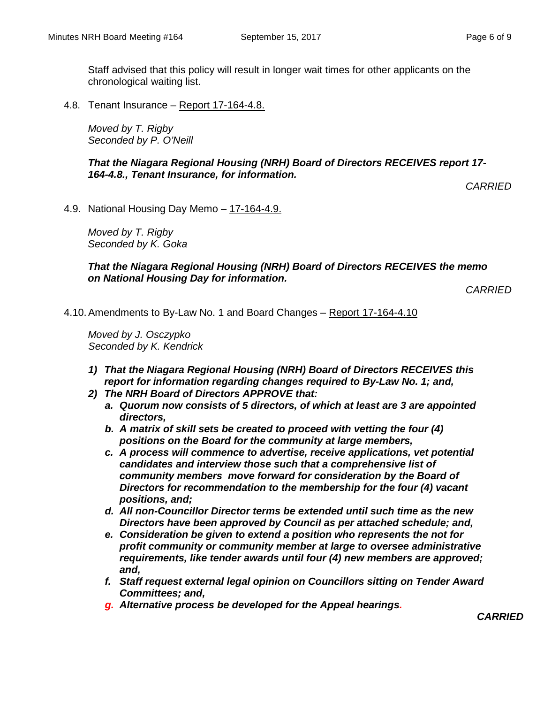Staff advised that this policy will result in longer wait times for other applicants on the chronological waiting list.

4.8. Tenant Insurance – Report 17-164-4.8.

*Moved by T. Rigby Seconded by P. O'Neill*

*That the Niagara Regional Housing (NRH) Board of Directors RECEIVES report 17- 164-4.8., Tenant Insurance, for information.*

*CARRIED*

4.9. National Housing Day Memo - 17-164-4.9.

*Moved by T. Rigby Seconded by K. Goka*

*That the Niagara Regional Housing (NRH) Board of Directors RECEIVES the memo on National Housing Day for information.*

*CARRIED*

4.10.Amendments to By-Law No. 1 and Board Changes – Report 17-164-4.10

*Moved by J. Osczypko Seconded by K. Kendrick*

- *1) That the Niagara Regional Housing (NRH) Board of Directors RECEIVES this report for information regarding changes required to By-Law No. 1; and,*
- *2) The NRH Board of Directors APPROVE that:*
	- *a. Quorum now consists of 5 directors, of which at least are 3 are appointed directors,*
	- *b. A matrix of skill sets be created to proceed with vetting the four (4) positions on the Board for the community at large members,*
	- *c. A process will commence to advertise, receive applications, vet potential candidates and interview those such that a comprehensive list of community members move forward for consideration by the Board of Directors for recommendation to the membership for the four (4) vacant positions, and;*
	- *d. All non-Councillor Director terms be extended until such time as the new Directors have been approved by Council as per attached schedule; and,*
	- *e. Consideration be given to extend a position who represents the not for profit community or community member at large to oversee administrative requirements, like tender awards until four (4) new members are approved; and,*
	- *f. Staff request external legal opinion on Councillors sitting on Tender Award Committees; and,*
	- *g. Alternative process be developed for the Appeal hearings.*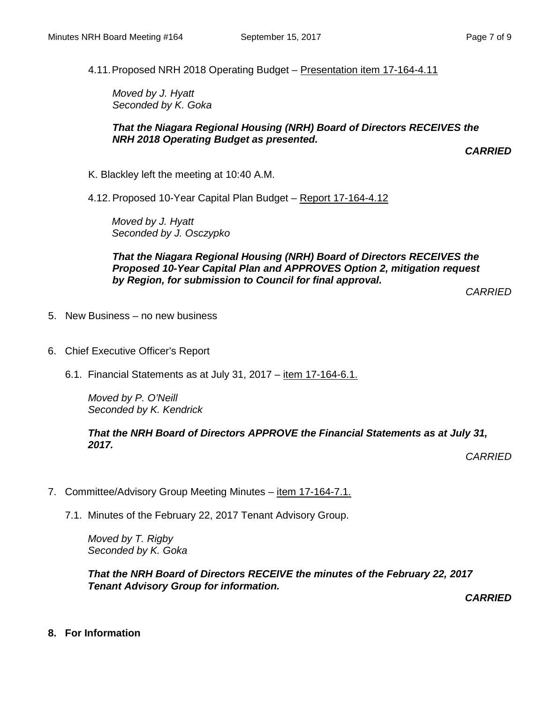4.11.Proposed NRH 2018 Operating Budget – Presentation item 17-164-4.11

*Moved by J. Hyatt Seconded by K. Goka*

#### *That the Niagara Regional Housing (NRH) Board of Directors RECEIVES the NRH 2018 Operating Budget as presented.*

*CARRIED*

K. Blackley left the meeting at 10:40 A.M.

4.12. Proposed 10-Year Capital Plan Budget – Report 17-164-4.12

*Moved by J. Hyatt Seconded by J. Osczypko*

*That the Niagara Regional Housing (NRH) Board of Directors RECEIVES the Proposed 10-Year Capital Plan and APPROVES Option 2, mitigation request by Region, for submission to Council for final approval.*

*CARRIED*

- 5. New Business no new business
- 6. Chief Executive Officer's Report
	- 6.1. Financial Statements as at July 31, 2017 item 17-164-6.1.

*Moved by P. O'Neill Seconded by K. Kendrick*

*That the NRH Board of Directors APPROVE the Financial Statements as at July 31, 2017.*

*CARRIED*

- 7. Committee/Advisory Group Meeting Minutes item 17-164-7.1.
	- 7.1. Minutes of the February 22, 2017 Tenant Advisory Group.

*Moved by T. Rigby Seconded by K. Goka*

*That the NRH Board of Directors RECEIVE the minutes of the February 22, 2017 Tenant Advisory Group for information.*

*CARRIED*

**8. For Information**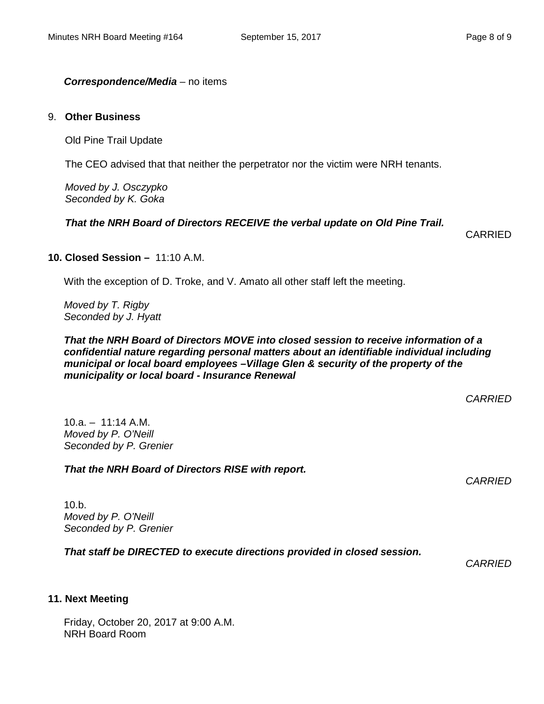#### *Correspondence/Media* – no items

#### 9. **Other Business**

Old Pine Trail Update

The CEO advised that that neither the perpetrator nor the victim were NRH tenants.

*Moved by J. Osczypko Seconded by K. Goka*

### *That the NRH Board of Directors RECEIVE the verbal update on Old Pine Trail.*

CARRIED

### **10. Closed Session –** 11:10 A.M.

With the exception of D. Troke, and V. Amato all other staff left the meeting.

*Moved by T. Rigby Seconded by J. Hyatt*

*That the NRH Board of Directors MOVE into closed session to receive information of a confidential nature regarding personal matters about an identifiable individual including municipal or local board employees –Village Glen & security of the property of the municipality or local board - Insurance Renewal*

*CARRIED*

 $10.a. - 11:14 A.M.$ *Moved by P. O'Neill Seconded by P. Grenier*

#### *That the NRH Board of Directors RISE with report.*

*CARRIED*

10.b. *Moved by P. O'Neill Seconded by P. Grenier*

*That staff be DIRECTED to execute directions provided in closed session.*

*CARRIED*

#### **11. Next Meeting**

Friday, October 20, 2017 at 9:00 A.M. NRH Board Room